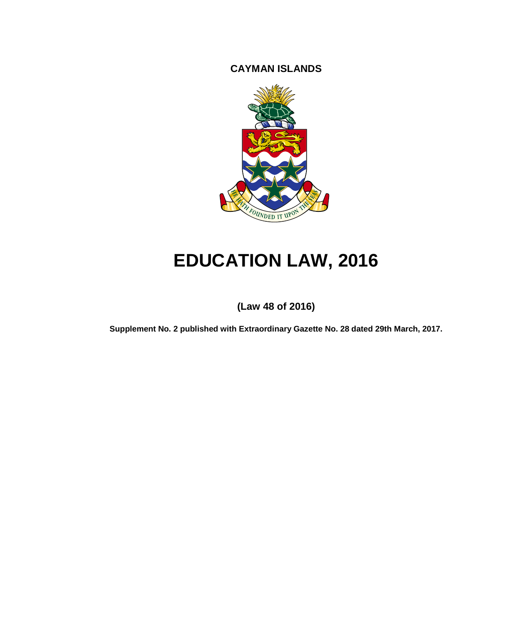**CAYMAN ISLANDS**



# **EDUCATION LAW, 2016**

**(Law 48 of 2016)**

**Supplement No. 2 published with Extraordinary Gazette No. 28 dated 29th March, 2017.**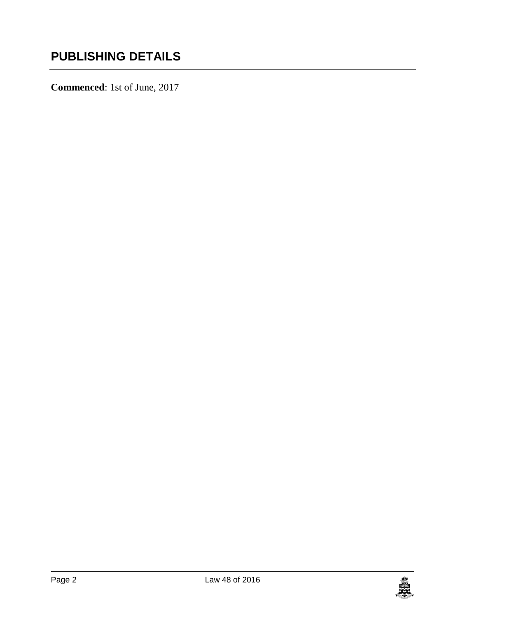**Commenced**: 1st of June, 2017

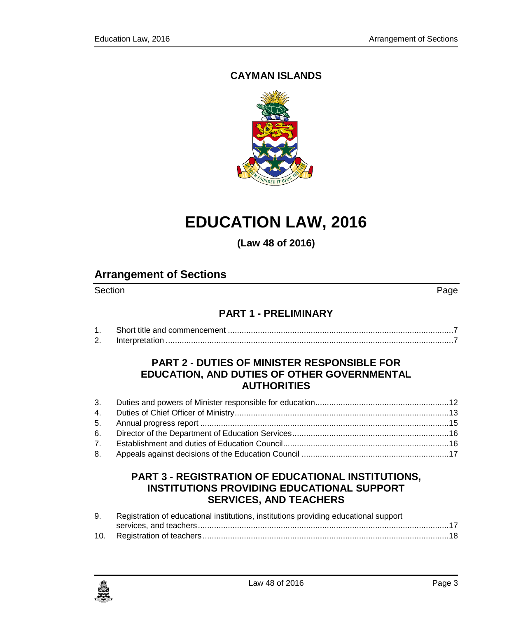### **CAYMAN ISLANDS**



# **EDUCATION LAW, 2016**

**(Law 48 of 2016)**

### **Arrangement of Sections**

Section Page **Page 2012** 

### **PART 1 - [PRELIMINARY](#page-6-0)**

| . . |  |
|-----|--|

#### **PART 2 - [DUTIES OF MINISTER RESPONSIBLE FOR](#page-11-0)  [EDUCATION, AND DUTIES OF OTHER GOVERNMENTAL](#page-11-0)  [AUTHORITIES](#page-11-0)**

#### **PART 3 - [REGISTRATION OF EDUCATIONAL INSTITUTIONS,](#page-16-1)  [INSTITUTIONS PROVIDING EDUCATIONAL SUPPORT](#page-16-1)  [SERVICES, AND TEACHERS](#page-16-1)**

| 9. | Registration of educational institutions, institutions providing educational support |
|----|--------------------------------------------------------------------------------------|
|    |                                                                                      |
|    |                                                                                      |

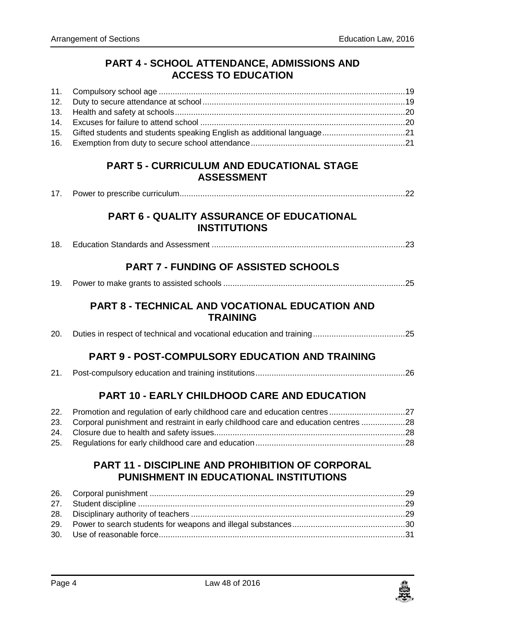#### **PART 4 - [SCHOOL ATTENDANCE, ADMISSIONS AND](#page-18-0)  [ACCESS TO EDUCATION](#page-18-0)**

| 15. Gifted students and students speaking English as additional language21 |  |
|----------------------------------------------------------------------------|--|
|                                                                            |  |

#### **PART 5 - [CURRICULUM AND EDUCATIONAL STAGE](#page-21-0)  [ASSESSMENT](#page-21-0)**

| 17. |  |  |  |
|-----|--|--|--|
|-----|--|--|--|

#### **PART 6 - [QUALITY ASSURANCE OF EDUCATIONAL](#page-22-0)  [INSTITUTIONS](#page-22-0)**

|--|--|--|--|

### **PART 7 - [FUNDING OF ASSISTED SCHOOLS](#page-24-0)**

|--|--|--|

#### **PART 8 - [TECHNICAL AND VOCATIONAL EDUCATION AND](#page-24-2)  [TRAINING](#page-24-2)**

|--|--|--|--|--|

#### **PART 9 - [POST-COMPULSORY EDUCATION AND TRAINING](#page-25-0)**

|--|--|--|--|--|

#### **PART 10 - [EARLY CHILDHOOD CARE AND EDUCATION](#page-26-0)**

| 23. Corporal punishment and restraint in early childhood care and education centres 28 |  |
|----------------------------------------------------------------------------------------|--|
|                                                                                        |  |
|                                                                                        |  |

### **PART 11 - [DISCIPLINE AND PROHIBITION OF CORPORAL](#page-28-0)  [PUNISHMENT IN EDUCATIONAL INSTITUTIONS](#page-28-0)**

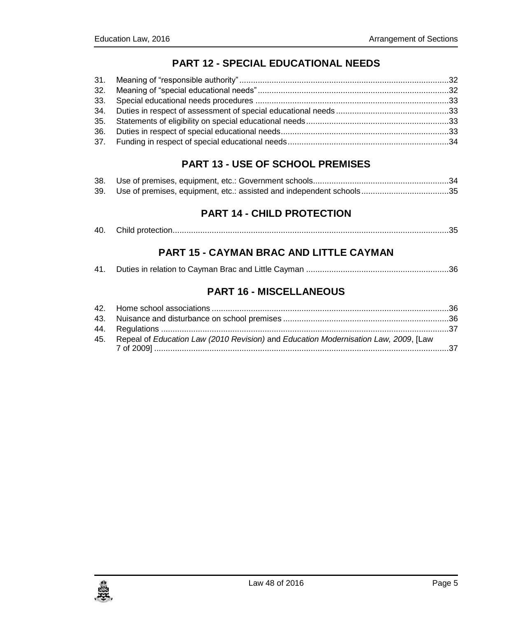### **PART 12 - [SPECIAL EDUCATIONAL NEEDS](#page-31-0)**

### **PART 13 - [USE OF SCHOOL PREMISES](#page-33-1)**

| 39. Use of premises, equipment, etc.: assisted and independent schools35 |  |
|--------------------------------------------------------------------------|--|

### **PART 14 - [CHILD PROTECTION](#page-34-1)**

| 40. |  |  |  |
|-----|--|--|--|
|-----|--|--|--|

### **PART 15 - [CAYMAN BRAC AND LITTLE CAYMAN](#page-35-0)**

|--|--|--|--|

#### **PART 16 - [MISCELLANEOUS](#page-35-2)**

| 45. Repeal of Education Law (2010 Revision) and Education Modernisation Law, 2009, [Law |  |
|-----------------------------------------------------------------------------------------|--|
|                                                                                         |  |

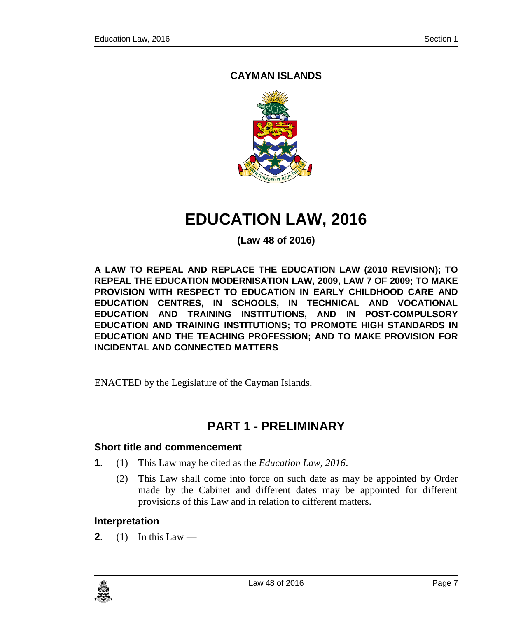### **CAYMAN ISLANDS**



# **EDUCATION LAW, 2016**

**(Law 48 of 2016)**

**A LAW TO REPEAL AND REPLACE THE EDUCATION LAW (2010 REVISION); TO REPEAL THE EDUCATION MODERNISATION LAW, 2009, LAW 7 OF 2009; TO MAKE PROVISION WITH RESPECT TO EDUCATION IN EARLY CHILDHOOD CARE AND EDUCATION CENTRES, IN SCHOOLS, IN TECHNICAL AND VOCATIONAL EDUCATION AND TRAINING INSTITUTIONS, AND IN POST-COMPULSORY EDUCATION AND TRAINING INSTITUTIONS; TO PROMOTE HIGH STANDARDS IN EDUCATION AND THE TEACHING PROFESSION; AND TO MAKE PROVISION FOR INCIDENTAL AND CONNECTED MATTERS**

ENACTED by the Legislature of the Cayman Islands.

# **PART 1 - PRELIMINARY**

#### <span id="page-6-1"></span><span id="page-6-0"></span>**1. Short title and commencement**

- **1**. (1) This Law may be cited as the *Education Law, 2016*.
	- (2) This Law shall come into force on such date as may be appointed by Order made by the Cabinet and different dates may be appointed for different provisions of this Law and in relation to different matters.

#### <span id="page-6-2"></span>**2. Interpretation**

**2**. (1) In this Law —

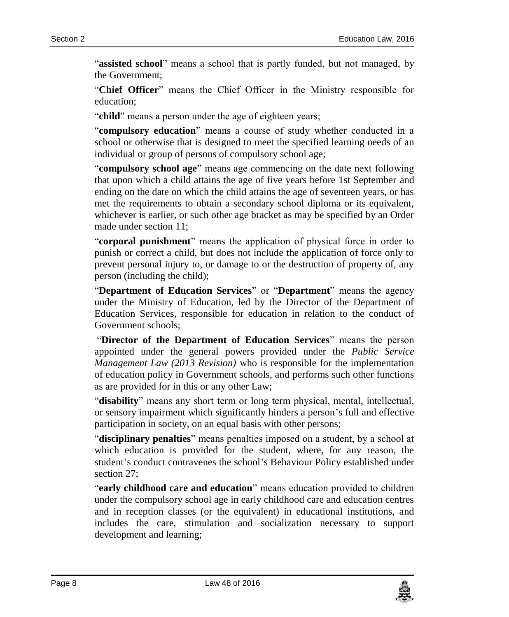"**assisted school**" means a school that is partly funded, but not managed, by the Government;

"**Chief Officer**" means the Chief Officer in the Ministry responsible for education;

"**child**" means a person under the age of eighteen years;

"**compulsory education**" means a course of study whether conducted in a school or otherwise that is designed to meet the specified learning needs of an individual or group of persons of compulsory school age;

"**compulsory school age**" means age commencing on the date next following that upon which a child attains the age of five years before 1st September and ending on the date on which the child attains the age of seventeen years, or has met the requirements to obtain a secondary school diploma or its equivalent, whichever is earlier, or such other age bracket as may be specified by an Order made under section 11;

"**corporal punishment**" means the application of physical force in order to punish or correct a child, but does not include the application of force only to prevent personal injury to, or damage to or the destruction of property of, any person (including the child);

"**Department of Education Services**" or "**Department**" means the agency under the Ministry of Education, led by the Director of the Department of Education Services, responsible for education in relation to the conduct of Government schools;

"**Director of the Department of Education Services**" means the person appointed under the general powers provided under the *Public Service Management Law (2013 Revision)* who is responsible for the implementation of education policy in Government schools, and performs such other functions as are provided for in this or any other Law;

"**disability**" means any short term or long term physical, mental, intellectual, or sensory impairment which significantly hinders a person's full and effective participation in society, on an equal basis with other persons;

"**disciplinary penalties**" means penalties imposed on a student, by a school at which education is provided for the student, where, for any reason, the student's conduct contravenes the school's Behaviour Policy established under section 27;

"**early childhood care and education**" means education provided to children under the compulsory school age in early childhood care and education centres and in reception classes (or the equivalent) in educational institutions, and includes the care, stimulation and socialization necessary to support development and learning;

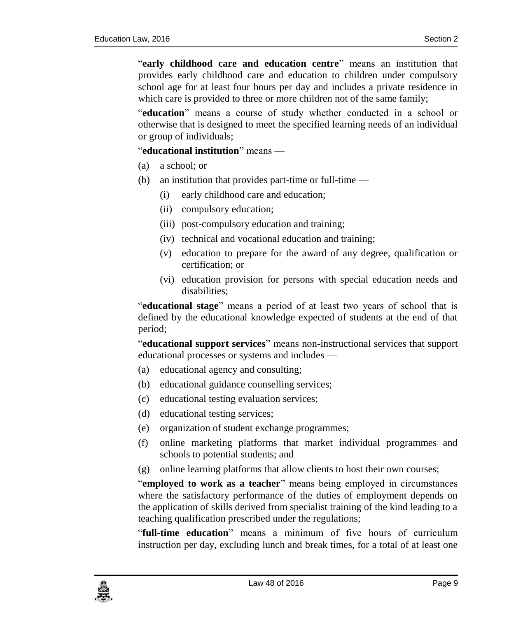"**early childhood care and education centre**" means an institution that provides early childhood care and education to children under compulsory school age for at least four hours per day and includes a private residence in which care is provided to three or more children not of the same family;

"**education**" means a course of study whether conducted in a school or otherwise that is designed to meet the specified learning needs of an individual or group of individuals;

"**educational institution**" means —

- (a) a school; or
- (b) an institution that provides part-time or full-time
	- (i) early childhood care and education;
	- (ii) compulsory education;
	- (iii) post-compulsory education and training;
	- (iv) technical and vocational education and training;
	- (v) education to prepare for the award of any degree, qualification or certification; or
	- (vi) education provision for persons with special education needs and disabilities;

"**educational stage**" means a period of at least two years of school that is defined by the educational knowledge expected of students at the end of that period;

"**educational support services**" means non-instructional services that support educational processes or systems and includes —

- (a) educational agency and consulting;
- (b) educational guidance counselling services;
- (c) educational testing evaluation services;
- (d) educational testing services;
- (e) organization of student exchange programmes;
- (f) online marketing platforms that market individual programmes and schools to potential students; and
- (g) online learning platforms that allow clients to host their own courses;

"**employed to work as a teacher**" means being employed in circumstances where the satisfactory performance of the duties of employment depends on the application of skills derived from specialist training of the kind leading to a teaching qualification prescribed under the regulations;

"**full-time education**" means a minimum of five hours of curriculum instruction per day, excluding lunch and break times, for a total of at least one

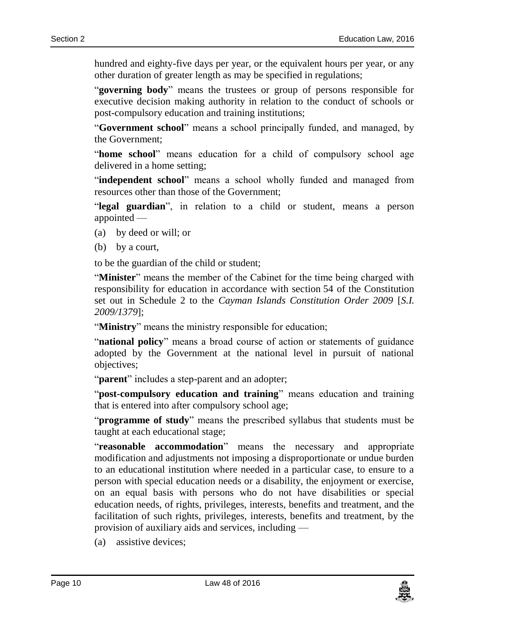hundred and eighty-five days per year, or the equivalent hours per year, or any other duration of greater length as may be specified in regulations;

"**governing body**" means the trustees or group of persons responsible for executive decision making authority in relation to the conduct of schools or post-compulsory education and training institutions;

"**Government school**" means a school principally funded, and managed, by the Government;

"**home school**" means education for a child of compulsory school age delivered in a home setting;

"**independent school**" means a school wholly funded and managed from resources other than those of the Government;

"**legal guardian**", in relation to a child or student, means a person appointed —

- (a) by deed or will; or
- (b) by a court,

to be the guardian of the child or student;

"**Minister**" means the member of the Cabinet for the time being charged with responsibility for education in accordance with section 54 of the Constitution set out in Schedule 2 to the *Cayman Islands Constitution Order 2009* [*S.I. 2009/1379*];

"**Ministry**" means the ministry responsible for education;

"**national policy**" means a broad course of action or statements of guidance adopted by the Government at the national level in pursuit of national objectives;

"**parent**" includes a step-parent and an adopter;

"**post-compulsory education and training**" means education and training that is entered into after compulsory school age;

"**programme of study**" means the prescribed syllabus that students must be taught at each educational stage;

"**reasonable accommodation**" means the necessary and appropriate modification and adjustments not imposing a disproportionate or undue burden to an educational institution where needed in a particular case, to ensure to a person with special education needs or a disability, the enjoyment or exercise, on an equal basis with persons who do not have disabilities or special education needs, of rights, privileges, interests, benefits and treatment, and the facilitation of such rights, privileges, interests, benefits and treatment, by the provision of auxiliary aids and services, including —

(a) assistive devices;

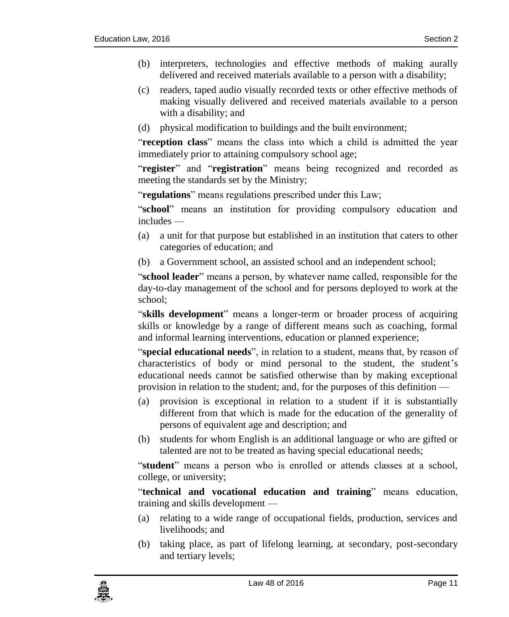- (b) interpreters, technologies and effective methods of making aurally delivered and received materials available to a person with a disability;
- (c) readers, taped audio visually recorded texts or other effective methods of making visually delivered and received materials available to a person with a disability; and
- (d) physical modification to buildings and the built environment;

"**reception class**" means the class into which a child is admitted the year immediately prior to attaining compulsory school age;

"**register**" and "**registration**" means being recognized and recorded as meeting the standards set by the Ministry;

"**regulations**" means regulations prescribed under this Law;

"**school**" means an institution for providing compulsory education and includes —

- (a) a unit for that purpose but established in an institution that caters to other categories of education; and
- (b) a Government school, an assisted school and an independent school;

"**school leader**" means a person, by whatever name called, responsible for the day-to-day management of the school and for persons deployed to work at the school;

"**skills development**" means a longer-term or broader process of acquiring skills or knowledge by a range of different means such as coaching, formal and informal learning interventions, education or planned experience;

"**special educational needs**", in relation to a student, means that, by reason of characteristics of body or mind personal to the student, the student's educational needs cannot be satisfied otherwise than by making exceptional provision in relation to the student; and, for the purposes of this definition —

- (a) provision is exceptional in relation to a student if it is substantially different from that which is made for the education of the generality of persons of equivalent age and description; and
- (b) students for whom English is an additional language or who are gifted or talented are not to be treated as having special educational needs;

"**student**" means a person who is enrolled or attends classes at a school, college, or university;

"**technical and vocational education and training**" means education, training and skills development —

- (a) relating to a wide range of occupational fields, production, services and livelihoods; and
- (b) taking place, as part of lifelong learning, at secondary, post-secondary and tertiary levels;

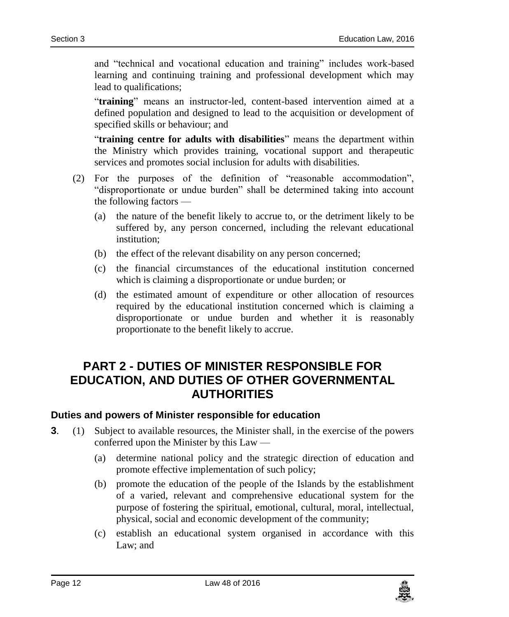and "technical and vocational education and training" includes work-based learning and continuing training and professional development which may lead to qualifications;

"**training**" means an instructor-led, content-based intervention aimed at a defined population and designed to lead to the acquisition or development of specified skills or behaviour; and

"**training centre for adults with disabilities**" means the department within the Ministry which provides training, vocational support and therapeutic services and promotes social inclusion for adults with disabilities.

- (2) For the purposes of the definition of "reasonable accommodation", "disproportionate or undue burden" shall be determined taking into account the following factors —
	- (a) the nature of the benefit likely to accrue to, or the detriment likely to be suffered by, any person concerned, including the relevant educational institution;
	- (b) the effect of the relevant disability on any person concerned;
	- (c) the financial circumstances of the educational institution concerned which is claiming a disproportionate or undue burden; or
	- (d) the estimated amount of expenditure or other allocation of resources required by the educational institution concerned which is claiming a disproportionate or undue burden and whether it is reasonably proportionate to the benefit likely to accrue.

# <span id="page-11-0"></span>**PART 2 - DUTIES OF MINISTER RESPONSIBLE FOR EDUCATION, AND DUTIES OF OTHER GOVERNMENTAL AUTHORITIES**

#### <span id="page-11-1"></span>**3. Duties and powers of Minister responsible for education**

- **3**. (1) Subject to available resources, the Minister shall, in the exercise of the powers conferred upon the Minister by this Law —
	- (a) determine national policy and the strategic direction of education and promote effective implementation of such policy;
	- (b) promote the education of the people of the Islands by the establishment of a varied, relevant and comprehensive educational system for the purpose of fostering the spiritual, emotional, cultural, moral, intellectual, physical, social and economic development of the community;
	- (c) establish an educational system organised in accordance with this Law; and

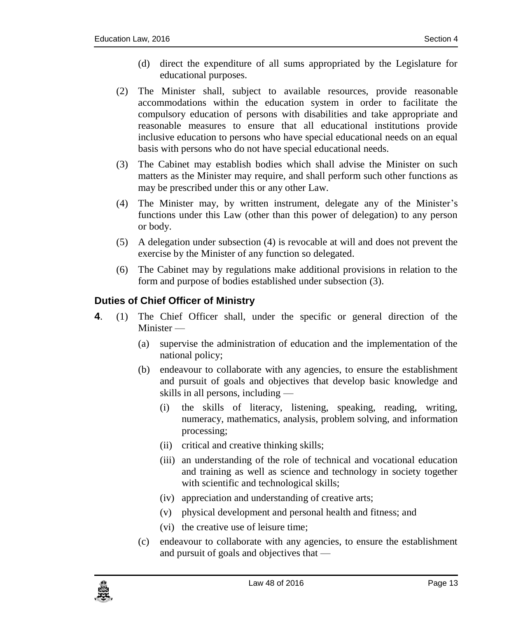- (d) direct the expenditure of all sums appropriated by the Legislature for educational purposes.
- (2) The Minister shall, subject to available resources, provide reasonable accommodations within the education system in order to facilitate the compulsory education of persons with disabilities and take appropriate and reasonable measures to ensure that all educational institutions provide inclusive education to persons who have special educational needs on an equal basis with persons who do not have special educational needs.
- (3) The Cabinet may establish bodies which shall advise the Minister on such matters as the Minister may require, and shall perform such other functions as may be prescribed under this or any other Law.
- (4) The Minister may, by written instrument, delegate any of the Minister's functions under this Law (other than this power of delegation) to any person or body.
- (5) A delegation under subsection (4) is revocable at will and does not prevent the exercise by the Minister of any function so delegated.
- (6) The Cabinet may by regulations make additional provisions in relation to the form and purpose of bodies established under subsection (3).

### <span id="page-12-0"></span>**4. Duties of Chief Officer of Ministry**

- **4**. (1) The Chief Officer shall, under the specific or general direction of the Minister —
	- (a) supervise the administration of education and the implementation of the national policy;
	- (b) endeavour to collaborate with any agencies, to ensure the establishment and pursuit of goals and objectives that develop basic knowledge and skills in all persons, including —
		- (i) the skills of literacy, listening, speaking, reading, writing, numeracy, mathematics, analysis, problem solving, and information processing;
		- (ii) critical and creative thinking skills;
		- (iii) an understanding of the role of technical and vocational education and training as well as science and technology in society together with scientific and technological skills;
		- (iv) appreciation and understanding of creative arts;
		- (v) physical development and personal health and fitness; and
		- (vi) the creative use of leisure time;
	- (c) endeavour to collaborate with any agencies, to ensure the establishment and pursuit of goals and objectives that —

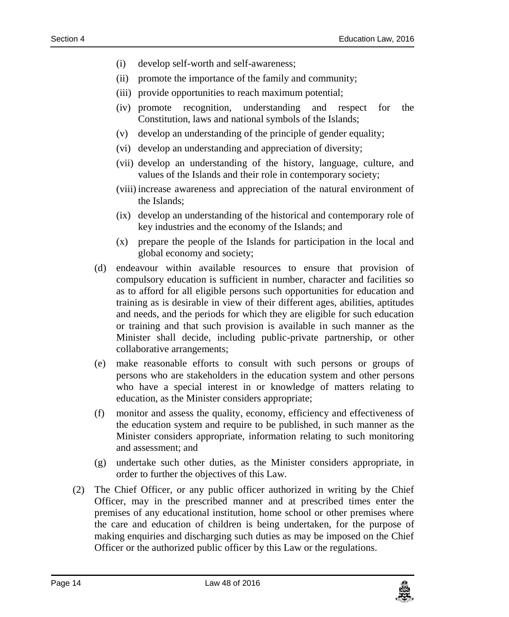- (i) develop self-worth and self-awareness;
- (ii) promote the importance of the family and community;
- (iii) provide opportunities to reach maximum potential;
- (iv) promote recognition, understanding and respect for the Constitution, laws and national symbols of the Islands;
- (v) develop an understanding of the principle of gender equality;
- (vi) develop an understanding and appreciation of diversity;
- (vii) develop an understanding of the history, language, culture, and values of the Islands and their role in contemporary society;
- (viii) increase awareness and appreciation of the natural environment of the Islands;
- (ix) develop an understanding of the historical and contemporary role of key industries and the economy of the Islands; and
- (x) prepare the people of the Islands for participation in the local and global economy and society;
- (d) endeavour within available resources to ensure that provision of compulsory education is sufficient in number, character and facilities so as to afford for all eligible persons such opportunities for education and training as is desirable in view of their different ages, abilities, aptitudes and needs, and the periods for which they are eligible for such education or training and that such provision is available in such manner as the Minister shall decide, including public-private partnership, or other collaborative arrangements;
- (e) make reasonable efforts to consult with such persons or groups of persons who are stakeholders in the education system and other persons who have a special interest in or knowledge of matters relating to education, as the Minister considers appropriate;
- (f) monitor and assess the quality, economy, efficiency and effectiveness of the education system and require to be published, in such manner as the Minister considers appropriate, information relating to such monitoring and assessment; and
- (g) undertake such other duties, as the Minister considers appropriate, in order to further the objectives of this Law.
- (2) The Chief Officer, or any public officer authorized in writing by the Chief Officer, may in the prescribed manner and at prescribed times enter the premises of any educational institution, home school or other premises where the care and education of children is being undertaken, for the purpose of making enquiries and discharging such duties as may be imposed on the Chief Officer or the authorized public officer by this Law or the regulations.

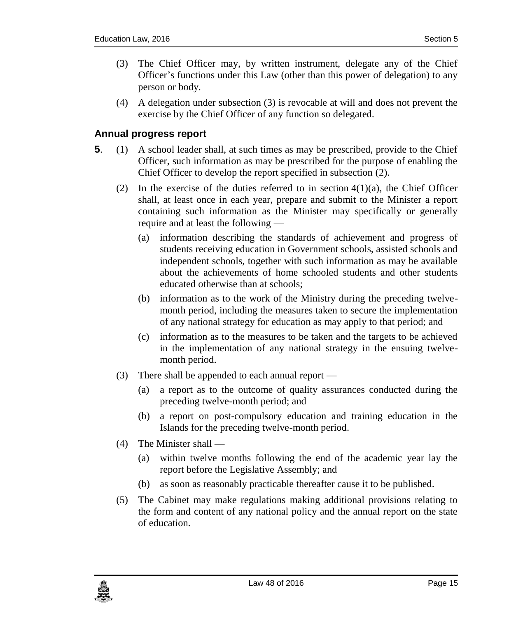- (3) The Chief Officer may, by written instrument, delegate any of the Chief Officer's functions under this Law (other than this power of delegation) to any person or body.
- (4) A delegation under subsection (3) is revocable at will and does not prevent the exercise by the Chief Officer of any function so delegated.

#### <span id="page-14-0"></span>**5. Annual progress report**

- **5**. (1) A school leader shall, at such times as may be prescribed, provide to the Chief Officer, such information as may be prescribed for the purpose of enabling the Chief Officer to develop the report specified in subsection (2).
	- (2) In the exercise of the duties referred to in section  $4(1)(a)$ , the Chief Officer shall, at least once in each year, prepare and submit to the Minister a report containing such information as the Minister may specifically or generally require and at least the following —
		- (a) information describing the standards of achievement and progress of students receiving education in Government schools, assisted schools and independent schools, together with such information as may be available about the achievements of home schooled students and other students educated otherwise than at schools;
		- (b) information as to the work of the Ministry during the preceding twelvemonth period, including the measures taken to secure the implementation of any national strategy for education as may apply to that period; and
		- (c) information as to the measures to be taken and the targets to be achieved in the implementation of any national strategy in the ensuing twelvemonth period.
	- (3) There shall be appended to each annual report
		- (a) a report as to the outcome of quality assurances conducted during the preceding twelve-month period; and
		- (b) a report on post-compulsory education and training education in the Islands for the preceding twelve-month period.
	- (4) The Minister shall
		- (a) within twelve months following the end of the academic year lay the report before the Legislative Assembly; and
		- (b) as soon as reasonably practicable thereafter cause it to be published.
	- (5) The Cabinet may make regulations making additional provisions relating to the form and content of any national policy and the annual report on the state of education.

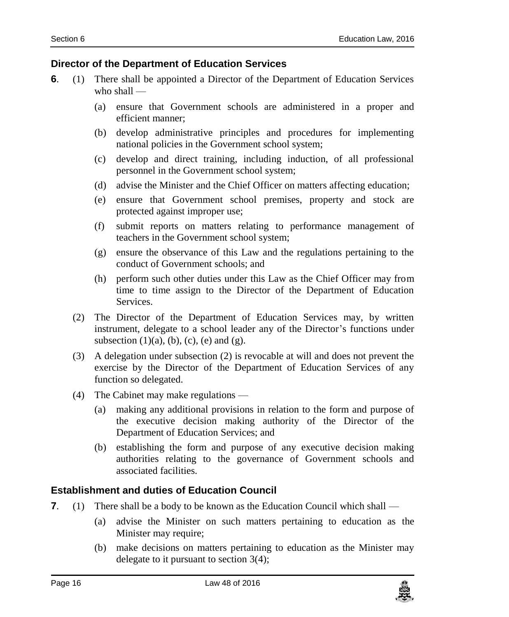#### <span id="page-15-0"></span>**6. Director of the Department of Education Services**

- **6**. (1) There shall be appointed a Director of the Department of Education Services who shall —
	- (a) ensure that Government schools are administered in a proper and efficient manner;
	- (b) develop administrative principles and procedures for implementing national policies in the Government school system;
	- (c) develop and direct training, including induction, of all professional personnel in the Government school system;
	- (d) advise the Minister and the Chief Officer on matters affecting education;
	- (e) ensure that Government school premises, property and stock are protected against improper use;
	- (f) submit reports on matters relating to performance management of teachers in the Government school system;
	- (g) ensure the observance of this Law and the regulations pertaining to the conduct of Government schools; and
	- (h) perform such other duties under this Law as the Chief Officer may from time to time assign to the Director of the Department of Education **Services**
	- (2) The Director of the Department of Education Services may, by written instrument, delegate to a school leader any of the Director's functions under subsection  $(1)(a)$ ,  $(b)$ ,  $(c)$ ,  $(e)$  and  $(g)$ .
	- (3) A delegation under subsection (2) is revocable at will and does not prevent the exercise by the Director of the Department of Education Services of any function so delegated.
	- (4) The Cabinet may make regulations
		- (a) making any additional provisions in relation to the form and purpose of the executive decision making authority of the Director of the Department of Education Services; and
		- (b) establishing the form and purpose of any executive decision making authorities relating to the governance of Government schools and associated facilities.

### <span id="page-15-1"></span>**7. Establishment and duties of Education Council**

- **7.** (1) There shall be a body to be known as the Education Council which shall
	- (a) advise the Minister on such matters pertaining to education as the Minister may require;
	- (b) make decisions on matters pertaining to education as the Minister may delegate to it pursuant to section 3(4);

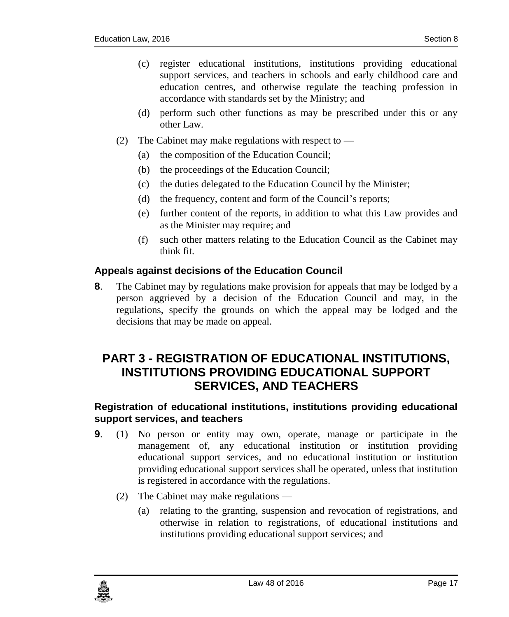- (c) register educational institutions, institutions providing educational support services, and teachers in schools and early childhood care and education centres, and otherwise regulate the teaching profession in accordance with standards set by the Ministry; and
- (d) perform such other functions as may be prescribed under this or any other Law.
- (2) The Cabinet may make regulations with respect to  $-$ 
	- (a) the composition of the Education Council;
	- (b) the proceedings of the Education Council;
	- (c) the duties delegated to the Education Council by the Minister;
	- (d) the frequency, content and form of the Council's reports;
	- (e) further content of the reports, in addition to what this Law provides and as the Minister may require; and
	- (f) such other matters relating to the Education Council as the Cabinet may think fit.

#### <span id="page-16-0"></span>**8. Appeals against decisions of the Education Council**

**8**. The Cabinet may by regulations make provision for appeals that may be lodged by a person aggrieved by a decision of the Education Council and may, in the regulations, specify the grounds on which the appeal may be lodged and the decisions that may be made on appeal.

# <span id="page-16-1"></span>**PART 3 - REGISTRATION OF EDUCATIONAL INSTITUTIONS, INSTITUTIONS PROVIDING EDUCATIONAL SUPPORT SERVICES, AND TEACHERS**

### <span id="page-16-2"></span>**9. Registration of educational institutions, institutions providing educational support services, and teachers**

- **9**. (1) No person or entity may own, operate, manage or participate in the management of, any educational institution or institution providing educational support services, and no educational institution or institution providing educational support services shall be operated, unless that institution is registered in accordance with the regulations.
	- (2) The Cabinet may make regulations
		- (a) relating to the granting, suspension and revocation of registrations, and otherwise in relation to registrations, of educational institutions and institutions providing educational support services; and

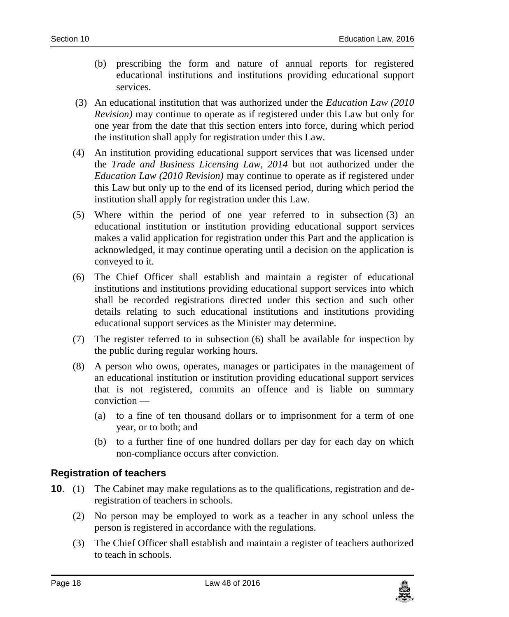- (b) prescribing the form and nature of annual reports for registered educational institutions and institutions providing educational support services.
- (3) An educational institution that was authorized under the *Education Law (2010 Revision)* may continue to operate as if registered under this Law but only for one year from the date that this section enters into force, during which period the institution shall apply for registration under this Law.
- (4) An institution providing educational support services that was licensed under the *Trade and Business Licensing Law, 2014* but not authorized under the *Education Law (2010 Revision)* may continue to operate as if registered under this Law but only up to the end of its licensed period, during which period the institution shall apply for registration under this Law.
- (5) Where within the period of one year referred to in subsection (3) an educational institution or institution providing educational support services makes a valid application for registration under this Part and the application is acknowledged, it may continue operating until a decision on the application is conveyed to it.
- (6) The Chief Officer shall establish and maintain a register of educational institutions and institutions providing educational support services into which shall be recorded registrations directed under this section and such other details relating to such educational institutions and institutions providing educational support services as the Minister may determine.
- (7) The register referred to in subsection (6) shall be available for inspection by the public during regular working hours.
- (8) A person who owns, operates, manages or participates in the management of an educational institution or institution providing educational support services that is not registered, commits an offence and is liable on summary conviction —
	- (a) to a fine of ten thousand dollars or to imprisonment for a term of one year, or to both; and
	- (b) to a further fine of one hundred dollars per day for each day on which non-compliance occurs after conviction.

#### <span id="page-17-0"></span>**10. Registration of teachers**

- **10**. (1) The Cabinet may make regulations as to the qualifications, registration and deregistration of teachers in schools.
	- (2) No person may be employed to work as a teacher in any school unless the person is registered in accordance with the regulations.
	- (3) The Chief Officer shall establish and maintain a register of teachers authorized to teach in schools.

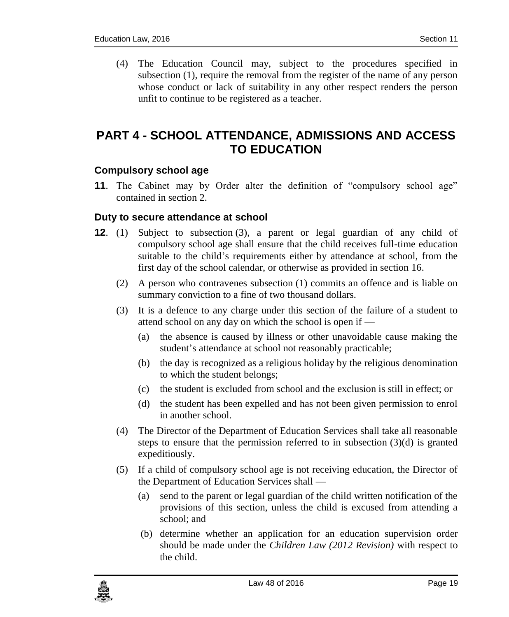(4) The Education Council may, subject to the procedures specified in subsection (1), require the removal from the register of the name of any person whose conduct or lack of suitability in any other respect renders the person unfit to continue to be registered as a teacher.

# <span id="page-18-0"></span>**PART 4 - SCHOOL ATTENDANCE, ADMISSIONS AND ACCESS TO EDUCATION**

### <span id="page-18-1"></span>**11. Compulsory school age**

**11.** The Cabinet may by Order alter the definition of "compulsory school age" contained in section 2.

#### <span id="page-18-2"></span>**12. Duty to secure attendance at school**

- **12**. (1) Subject to subsection (3), a parent or legal guardian of any child of compulsory school age shall ensure that the child receives full-time education suitable to the child's requirements either by attendance at school, from the first day of the school calendar, or otherwise as provided in section 16.
	- (2) A person who contravenes subsection (1) commits an offence and is liable on summary conviction to a fine of two thousand dollars.
	- (3) It is a defence to any charge under this section of the failure of a student to attend school on any day on which the school is open if —
		- (a) the absence is caused by illness or other unavoidable cause making the student's attendance at school not reasonably practicable;
		- (b) the day is recognized as a religious holiday by the religious denomination to which the student belongs;
		- (c) the student is excluded from school and the exclusion is still in effect; or
		- (d) the student has been expelled and has not been given permission to enrol in another school.
	- (4) The Director of the Department of Education Services shall take all reasonable steps to ensure that the permission referred to in subsection  $(3)(d)$  is granted expeditiously.
	- (5) If a child of compulsory school age is not receiving education, the Director of the Department of Education Services shall —
		- (a) send to the parent or legal guardian of the child written notification of the provisions of this section, unless the child is excused from attending a school; and
		- (b) determine whether an application for an education supervision order should be made under the *Children Law (2012 Revision)* with respect to the child.

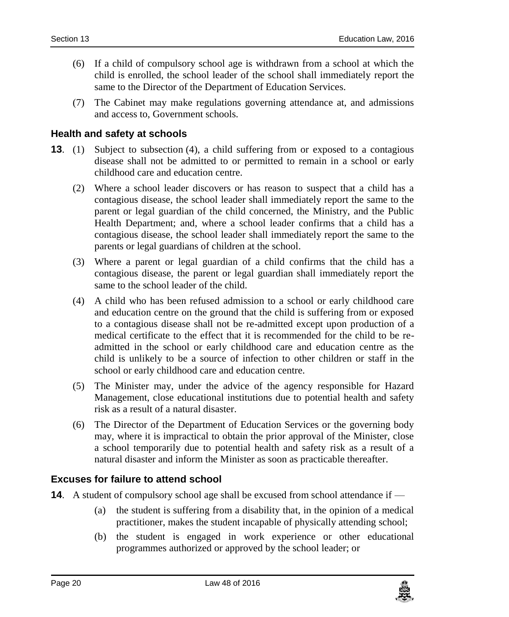- (6) If a child of compulsory school age is withdrawn from a school at which the child is enrolled, the school leader of the school shall immediately report the same to the Director of the Department of Education Services.
- (7) The Cabinet may make regulations governing attendance at, and admissions and access to, Government schools.

#### <span id="page-19-0"></span>**13. Health and safety at schools**

- **13**. (1) Subject to subsection (4), a child suffering from or exposed to a contagious disease shall not be admitted to or permitted to remain in a school or early childhood care and education centre.
	- (2) Where a school leader discovers or has reason to suspect that a child has a contagious disease, the school leader shall immediately report the same to the parent or legal guardian of the child concerned, the Ministry, and the Public Health Department; and, where a school leader confirms that a child has a contagious disease, the school leader shall immediately report the same to the parents or legal guardians of children at the school.
	- (3) Where a parent or legal guardian of a child confirms that the child has a contagious disease, the parent or legal guardian shall immediately report the same to the school leader of the child.
	- (4) A child who has been refused admission to a school or early childhood care and education centre on the ground that the child is suffering from or exposed to a contagious disease shall not be re-admitted except upon production of a medical certificate to the effect that it is recommended for the child to be readmitted in the school or early childhood care and education centre as the child is unlikely to be a source of infection to other children or staff in the school or early childhood care and education centre.
	- (5) The Minister may, under the advice of the agency responsible for Hazard Management, close educational institutions due to potential health and safety risk as a result of a natural disaster.
	- (6) The Director of the Department of Education Services or the governing body may, where it is impractical to obtain the prior approval of the Minister, close a school temporarily due to potential health and safety risk as a result of a natural disaster and inform the Minister as soon as practicable thereafter.

#### <span id="page-19-1"></span>**14. Excuses for failure to attend school**

- **14**. A student of compulsory school age shall be excused from school attendance if
	- (a) the student is suffering from a disability that, in the opinion of a medical practitioner, makes the student incapable of physically attending school;
	- (b) the student is engaged in work experience or other educational programmes authorized or approved by the school leader; or

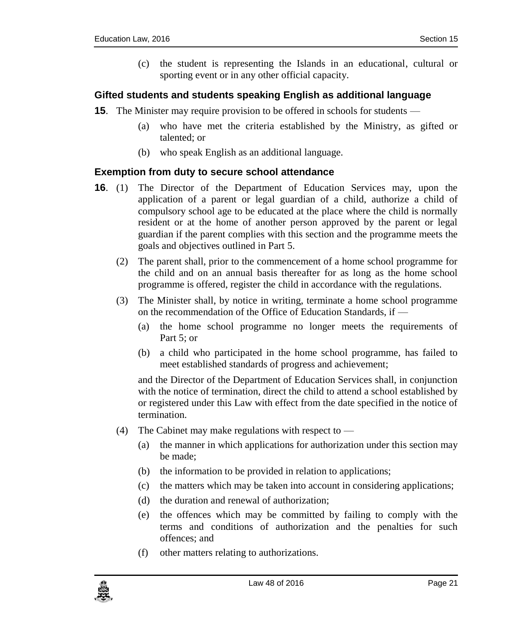(c) the student is representing the Islands in an educational, cultural or sporting event or in any other official capacity.

#### <span id="page-20-0"></span>**15. Gifted students and students speaking English as additional language**

- **15**. The Minister may require provision to be offered in schools for students
	- (a) who have met the criteria established by the Ministry, as gifted or talented; or
	- (b) who speak English as an additional language.

#### <span id="page-20-1"></span>**16. Exemption from duty to secure school attendance**

- **16**. (1) The Director of the Department of Education Services may, upon the application of a parent or legal guardian of a child, authorize a child of compulsory school age to be educated at the place where the child is normally resident or at the home of another person approved by the parent or legal guardian if the parent complies with this section and the programme meets the goals and objectives outlined in Part 5.
	- (2) The parent shall, prior to the commencement of a home school programme for the child and on an annual basis thereafter for as long as the home school programme is offered, register the child in accordance with the regulations.
	- (3) The Minister shall, by notice in writing, terminate a home school programme on the recommendation of the Office of Education Standards, if —
		- (a) the home school programme no longer meets the requirements of Part 5; or
		- (b) a child who participated in the home school programme, has failed to meet established standards of progress and achievement;

and the Director of the Department of Education Services shall, in conjunction with the notice of termination, direct the child to attend a school established by or registered under this Law with effect from the date specified in the notice of termination.

- (4) The Cabinet may make regulations with respect to  $-$ 
	- (a) the manner in which applications for authorization under this section may be made;
	- (b) the information to be provided in relation to applications;
	- (c) the matters which may be taken into account in considering applications;
	- (d) the duration and renewal of authorization;
	- (e) the offences which may be committed by failing to comply with the terms and conditions of authorization and the penalties for such offences; and
	- (f) other matters relating to authorizations.

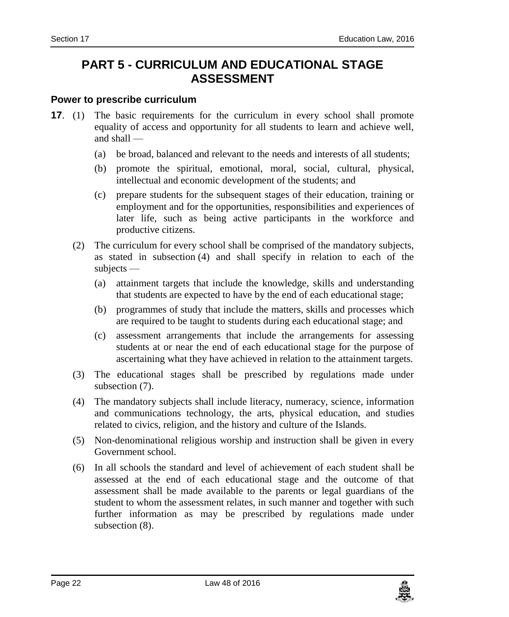# <span id="page-21-0"></span>**PART 5 - CURRICULUM AND EDUCATIONAL STAGE ASSESSMENT**

#### <span id="page-21-1"></span>**17. Power to prescribe curriculum**

- **17.** (1) The basic requirements for the curriculum in every school shall promote equality of access and opportunity for all students to learn and achieve well, and shall —
	- (a) be broad, balanced and relevant to the needs and interests of all students;
	- (b) promote the spiritual, emotional, moral, social, cultural, physical, intellectual and economic development of the students; and
	- (c) prepare students for the subsequent stages of their education, training or employment and for the opportunities, responsibilities and experiences of later life, such as being active participants in the workforce and productive citizens.
	- (2) The curriculum for every school shall be comprised of the mandatory subjects, as stated in subsection (4) and shall specify in relation to each of the subjects —
		- (a) attainment targets that include the knowledge, skills and understanding that students are expected to have by the end of each educational stage;
		- (b) programmes of study that include the matters, skills and processes which are required to be taught to students during each educational stage; and
		- (c) assessment arrangements that include the arrangements for assessing students at or near the end of each educational stage for the purpose of ascertaining what they have achieved in relation to the attainment targets.
	- (3) The educational stages shall be prescribed by regulations made under subsection (7).
	- (4) The mandatory subjects shall include literacy, numeracy, science, information and communications technology, the arts, physical education, and studies related to civics, religion, and the history and culture of the Islands.
	- (5) Non-denominational religious worship and instruction shall be given in every Government school.
	- (6) In all schools the standard and level of achievement of each student shall be assessed at the end of each educational stage and the outcome of that assessment shall be made available to the parents or legal guardians of the student to whom the assessment relates, in such manner and together with such further information as may be prescribed by regulations made under subsection  $(8)$ .

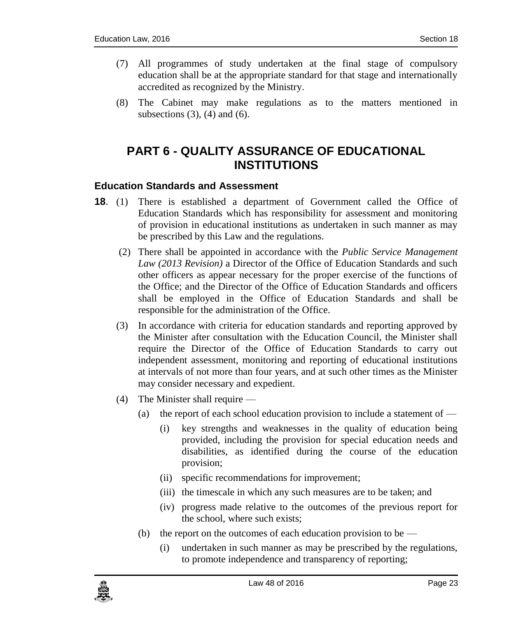- (7) All programmes of study undertaken at the final stage of compulsory education shall be at the appropriate standard for that stage and internationally accredited as recognized by the Ministry.
- <span id="page-22-0"></span>(8) The Cabinet may make regulations as to the matters mentioned in subsections  $(3)$ ,  $(4)$  and  $(6)$ .

# **PART 6 - QUALITY ASSURANCE OF EDUCATIONAL INSTITUTIONS**

#### <span id="page-22-1"></span>**18. Education Standards and Assessment**

- **18**. (1) There is established a department of Government called the Office of Education Standards which has responsibility for assessment and monitoring of provision in educational institutions as undertaken in such manner as may be prescribed by this Law and the regulations.
	- (2) There shall be appointed in accordance with the *Public Service Management Law (2013 Revision)* a Director of the Office of Education Standards and such other officers as appear necessary for the proper exercise of the functions of the Office; and the Director of the Office of Education Standards and officers shall be employed in the Office of Education Standards and shall be responsible for the administration of the Office.
	- (3) In accordance with criteria for education standards and reporting approved by the Minister after consultation with the Education Council, the Minister shall require the Director of the Office of Education Standards to carry out independent assessment, monitoring and reporting of educational institutions at intervals of not more than four years, and at such other times as the Minister may consider necessary and expedient.
	- (4) The Minister shall require
		- (a) the report of each school education provision to include a statement of  $-$ 
			- (i) key strengths and weaknesses in the quality of education being provided, including the provision for special education needs and disabilities, as identified during the course of the education provision;
			- (ii) specific recommendations for improvement;
			- (iii) the timescale in which any such measures are to be taken; and
			- (iv) progress made relative to the outcomes of the previous report for the school, where such exists;
		- (b) the report on the outcomes of each education provision to be  $-$ 
			- (i) undertaken in such manner as may be prescribed by the regulations, to promote independence and transparency of reporting;

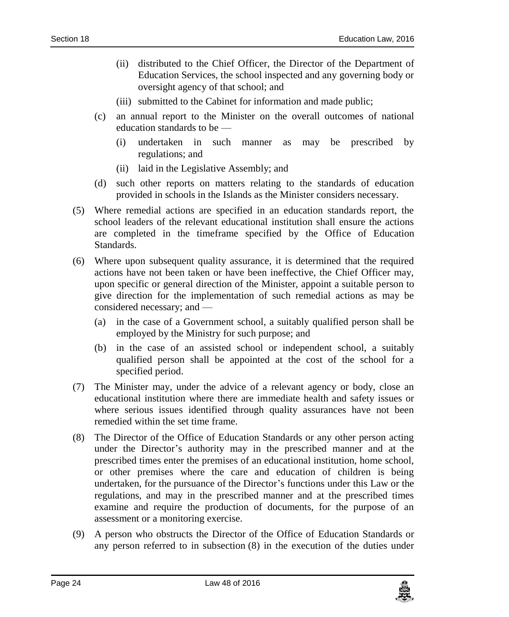- (ii) distributed to the Chief Officer, the Director of the Department of Education Services, the school inspected and any governing body or oversight agency of that school; and
- (iii) submitted to the Cabinet for information and made public;
- (c) an annual report to the Minister on the overall outcomes of national education standards to be —
	- (i) undertaken in such manner as may be prescribed by regulations; and
	- (ii) laid in the Legislative Assembly; and
- (d) such other reports on matters relating to the standards of education provided in schools in the Islands as the Minister considers necessary.
- (5) Where remedial actions are specified in an education standards report, the school leaders of the relevant educational institution shall ensure the actions are completed in the timeframe specified by the Office of Education Standards.
- (6) Where upon subsequent quality assurance, it is determined that the required actions have not been taken or have been ineffective, the Chief Officer may, upon specific or general direction of the Minister, appoint a suitable person to give direction for the implementation of such remedial actions as may be considered necessary; and —
	- (a) in the case of a Government school, a suitably qualified person shall be employed by the Ministry for such purpose; and
	- (b) in the case of an assisted school or independent school, a suitably qualified person shall be appointed at the cost of the school for a specified period.
- (7) The Minister may, under the advice of a relevant agency or body, close an educational institution where there are immediate health and safety issues or where serious issues identified through quality assurances have not been remedied within the set time frame.
- (8) The Director of the Office of Education Standards or any other person acting under the Director's authority may in the prescribed manner and at the prescribed times enter the premises of an educational institution, home school, or other premises where the care and education of children is being undertaken, for the pursuance of the Director's functions under this Law or the regulations, and may in the prescribed manner and at the prescribed times examine and require the production of documents, for the purpose of an assessment or a monitoring exercise.
- (9) A person who obstructs the Director of the Office of Education Standards or any person referred to in subsection (8) in the execution of the duties under

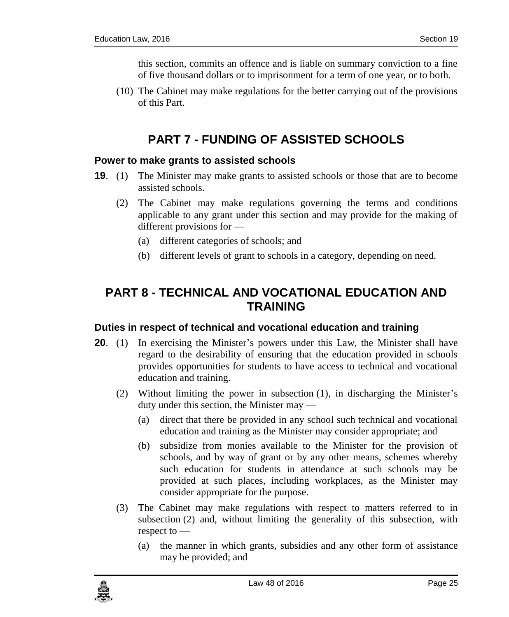this section, commits an offence and is liable on summary conviction to a fine of five thousand dollars or to imprisonment for a term of one year, or to both.

<span id="page-24-0"></span>(10) The Cabinet may make regulations for the better carrying out of the provisions of this Part.

# **PART 7 - FUNDING OF ASSISTED SCHOOLS**

#### <span id="page-24-1"></span>**19. Power to make grants to assisted schools**

- **19**. (1) The Minister may make grants to assisted schools or those that are to become assisted schools.
	- (2) The Cabinet may make regulations governing the terms and conditions applicable to any grant under this section and may provide for the making of different provisions for —
		- (a) different categories of schools; and
		- (b) different levels of grant to schools in a category, depending on need.

# <span id="page-24-2"></span>**PART 8 - TECHNICAL AND VOCATIONAL EDUCATION AND TRAINING**

#### <span id="page-24-3"></span>**20. Duties in respect of technical and vocational education and training**

- **20.** (1) In exercising the Minister's powers under this Law, the Minister shall have regard to the desirability of ensuring that the education provided in schools provides opportunities for students to have access to technical and vocational education and training.
	- (2) Without limiting the power in subsection (1), in discharging the Minister's duty under this section, the Minister may —
		- (a) direct that there be provided in any school such technical and vocational education and training as the Minister may consider appropriate; and
		- (b) subsidize from monies available to the Minister for the provision of schools, and by way of grant or by any other means, schemes whereby such education for students in attendance at such schools may be provided at such places, including workplaces, as the Minister may consider appropriate for the purpose.
	- (3) The Cabinet may make regulations with respect to matters referred to in subsection (2) and, without limiting the generality of this subsection, with respect to —
		- (a) the manner in which grants, subsidies and any other form of assistance may be provided; and

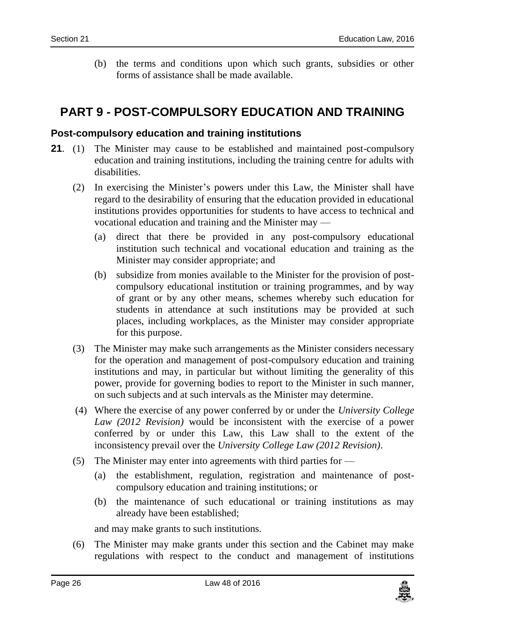(b) the terms and conditions upon which such grants, subsidies or other forms of assistance shall be made available.

# <span id="page-25-0"></span>**PART 9 - POST-COMPULSORY EDUCATION AND TRAINING**

#### <span id="page-25-1"></span>**21. Post-compulsory education and training institutions**

- **21**. (1) The Minister may cause to be established and maintained post-compulsory education and training institutions, including the training centre for adults with disabilities.
	- (2) In exercising the Minister's powers under this Law, the Minister shall have regard to the desirability of ensuring that the education provided in educational institutions provides opportunities for students to have access to technical and vocational education and training and the Minister may —
		- (a) direct that there be provided in any post-compulsory educational institution such technical and vocational education and training as the Minister may consider appropriate; and
		- (b) subsidize from monies available to the Minister for the provision of postcompulsory educational institution or training programmes, and by way of grant or by any other means, schemes whereby such education for students in attendance at such institutions may be provided at such places, including workplaces, as the Minister may consider appropriate for this purpose.
	- (3) The Minister may make such arrangements as the Minister considers necessary for the operation and management of post-compulsory education and training institutions and may, in particular but without limiting the generality of this power, provide for governing bodies to report to the Minister in such manner, on such subjects and at such intervals as the Minister may determine.
	- (4) Where the exercise of any power conferred by or under the *University College Law (2012 Revision)* would be inconsistent with the exercise of a power conferred by or under this Law, this Law shall to the extent of the inconsistency prevail over the *University College Law (2012 Revision)*.
	- (5) The Minister may enter into agreements with third parties for
		- (a) the establishment, regulation, registration and maintenance of postcompulsory education and training institutions; or
		- (b) the maintenance of such educational or training institutions as may already have been established;

and may make grants to such institutions.

(6) The Minister may make grants under this section and the Cabinet may make regulations with respect to the conduct and management of institutions

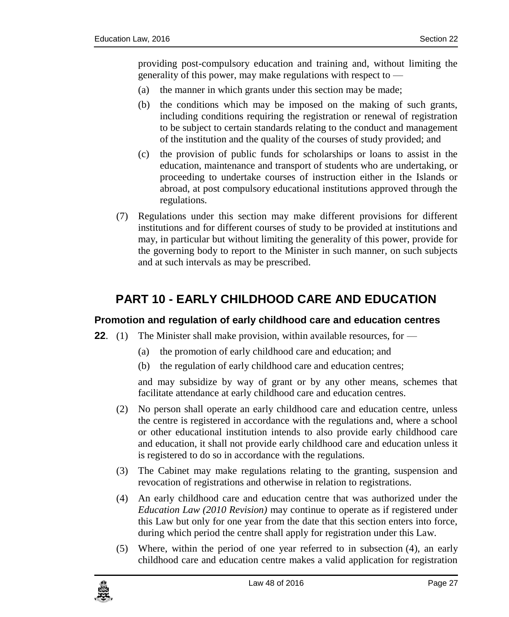providing post-compulsory education and training and, without limiting the generality of this power, may make regulations with respect to —

- (a) the manner in which grants under this section may be made;
- (b) the conditions which may be imposed on the making of such grants, including conditions requiring the registration or renewal of registration to be subject to certain standards relating to the conduct and management of the institution and the quality of the courses of study provided; and
- (c) the provision of public funds for scholarships or loans to assist in the education, maintenance and transport of students who are undertaking, or proceeding to undertake courses of instruction either in the Islands or abroad, at post compulsory educational institutions approved through the regulations.
- (7) Regulations under this section may make different provisions for different institutions and for different courses of study to be provided at institutions and may, in particular but without limiting the generality of this power, provide for the governing body to report to the Minister in such manner, on such subjects and at such intervals as may be prescribed.

# <span id="page-26-0"></span>**PART 10 - EARLY CHILDHOOD CARE AND EDUCATION**

### <span id="page-26-1"></span>**22. Promotion and regulation of early childhood care and education centres**

- **22.** (1) The Minister shall make provision, within available resources, for
	- (a) the promotion of early childhood care and education; and
	- (b) the regulation of early childhood care and education centres;

and may subsidize by way of grant or by any other means, schemes that facilitate attendance at early childhood care and education centres.

- (2) No person shall operate an early childhood care and education centre, unless the centre is registered in accordance with the regulations and, where a school or other educational institution intends to also provide early childhood care and education, it shall not provide early childhood care and education unless it is registered to do so in accordance with the regulations.
- (3) The Cabinet may make regulations relating to the granting, suspension and revocation of registrations and otherwise in relation to registrations.
- (4) An early childhood care and education centre that was authorized under the *Education Law (2010 Revision)* may continue to operate as if registered under this Law but only for one year from the date that this section enters into force, during which period the centre shall apply for registration under this Law.
- (5) Where, within the period of one year referred to in subsection (4), an early childhood care and education centre makes a valid application for registration

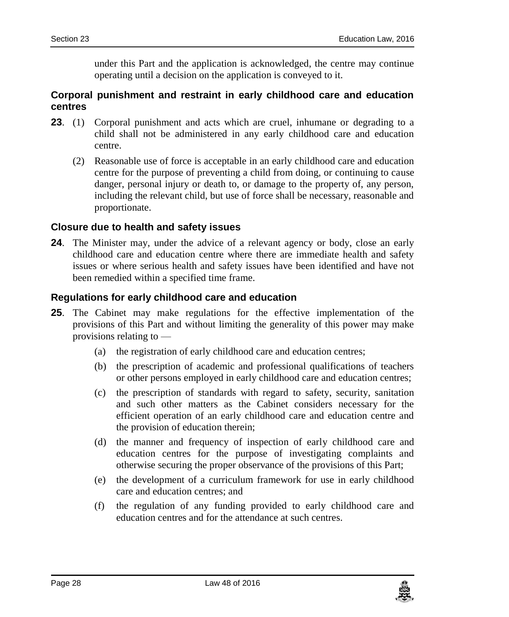under this Part and the application is acknowledged, the centre may continue operating until a decision on the application is conveyed to it.

#### <span id="page-27-0"></span>**23. Corporal punishment and restraint in early childhood care and education centres**

- **23**. (1) Corporal punishment and acts which are cruel, inhumane or degrading to a child shall not be administered in any early childhood care and education centre.
	- (2) Reasonable use of force is acceptable in an early childhood care and education centre for the purpose of preventing a child from doing, or continuing to cause danger, personal injury or death to, or damage to the property of, any person, including the relevant child, but use of force shall be necessary, reasonable and proportionate.

#### <span id="page-27-1"></span>**24. Closure due to health and safety issues**

**24**. The Minister may, under the advice of a relevant agency or body, close an early childhood care and education centre where there are immediate health and safety issues or where serious health and safety issues have been identified and have not been remedied within a specified time frame.

#### <span id="page-27-2"></span>**25. Regulations for early childhood care and education**

- **25**. The Cabinet may make regulations for the effective implementation of the provisions of this Part and without limiting the generality of this power may make provisions relating to —
	- (a) the registration of early childhood care and education centres;
	- (b) the prescription of academic and professional qualifications of teachers or other persons employed in early childhood care and education centres;
	- (c) the prescription of standards with regard to safety, security, sanitation and such other matters as the Cabinet considers necessary for the efficient operation of an early childhood care and education centre and the provision of education therein;
	- (d) the manner and frequency of inspection of early childhood care and education centres for the purpose of investigating complaints and otherwise securing the proper observance of the provisions of this Part;
	- (e) the development of a curriculum framework for use in early childhood care and education centres; and
	- (f) the regulation of any funding provided to early childhood care and education centres and for the attendance at such centres.

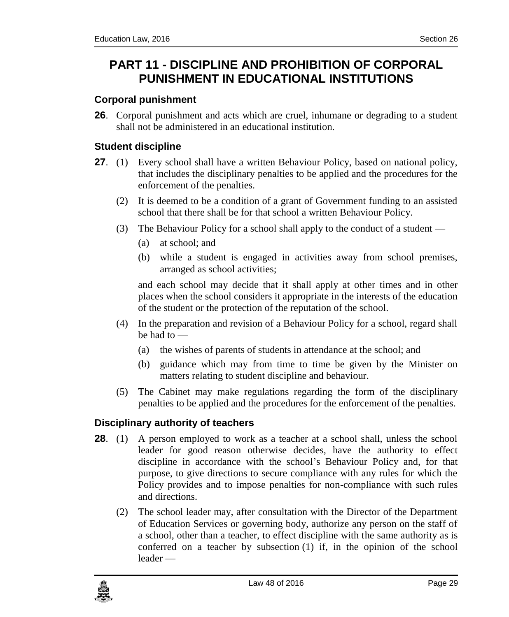# <span id="page-28-0"></span>**PART 11 - DISCIPLINE AND PROHIBITION OF CORPORAL PUNISHMENT IN EDUCATIONAL INSTITUTIONS**

### <span id="page-28-1"></span>**26. Corporal punishment**

**26**. Corporal punishment and acts which are cruel, inhumane or degrading to a student shall not be administered in an educational institution.

### <span id="page-28-2"></span>**27. Student discipline**

- **27**. (1) Every school shall have a written Behaviour Policy, based on national policy, that includes the disciplinary penalties to be applied and the procedures for the enforcement of the penalties.
	- (2) It is deemed to be a condition of a grant of Government funding to an assisted school that there shall be for that school a written Behaviour Policy.
	- (3) The Behaviour Policy for a school shall apply to the conduct of a student
		- (a) at school; and
		- (b) while a student is engaged in activities away from school premises, arranged as school activities;

and each school may decide that it shall apply at other times and in other places when the school considers it appropriate in the interests of the education of the student or the protection of the reputation of the school.

- (4) In the preparation and revision of a Behaviour Policy for a school, regard shall be had to —
	- (a) the wishes of parents of students in attendance at the school; and
	- (b) guidance which may from time to time be given by the Minister on matters relating to student discipline and behaviour.
- (5) The Cabinet may make regulations regarding the form of the disciplinary penalties to be applied and the procedures for the enforcement of the penalties.

### <span id="page-28-3"></span>**28. Disciplinary authority of teachers**

- **28.** (1) A person employed to work as a teacher at a school shall, unless the school leader for good reason otherwise decides, have the authority to effect discipline in accordance with the school's Behaviour Policy and, for that purpose, to give directions to secure compliance with any rules for which the Policy provides and to impose penalties for non-compliance with such rules and directions.
	- (2) The school leader may, after consultation with the Director of the Department of Education Services or governing body, authorize any person on the staff of a school, other than a teacher, to effect discipline with the same authority as is conferred on a teacher by subsection (1) if, in the opinion of the school leader —

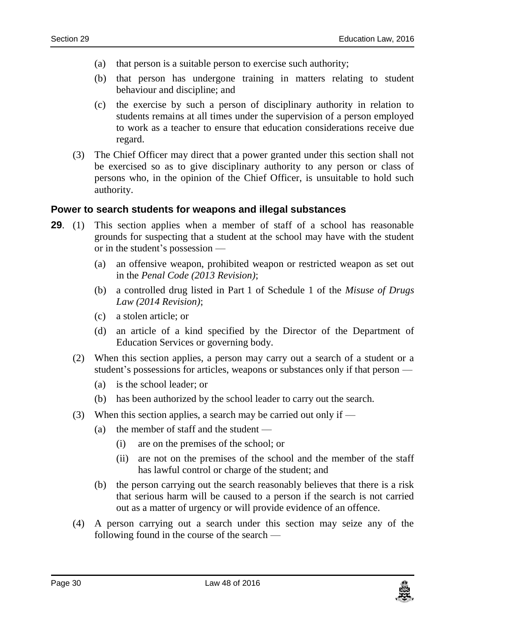- (a) that person is a suitable person to exercise such authority;
- (b) that person has undergone training in matters relating to student behaviour and discipline; and
- (c) the exercise by such a person of disciplinary authority in relation to students remains at all times under the supervision of a person employed to work as a teacher to ensure that education considerations receive due regard.
- (3) The Chief Officer may direct that a power granted under this section shall not be exercised so as to give disciplinary authority to any person or class of persons who, in the opinion of the Chief Officer, is unsuitable to hold such authority.

#### <span id="page-29-0"></span>**29. Power to search students for weapons and illegal substances**

- **29.** (1) This section applies when a member of staff of a school has reasonable grounds for suspecting that a student at the school may have with the student or in the student's possession —
	- (a) an offensive weapon, prohibited weapon or restricted weapon as set out in the *Penal Code (2013 Revision)*;
	- (b) a controlled drug listed in Part 1 of Schedule 1 of the *Misuse of Drugs Law (2014 Revision)*;
	- (c) a stolen article; or
	- (d) an article of a kind specified by the Director of the Department of Education Services or governing body.
	- (2) When this section applies, a person may carry out a search of a student or a student's possessions for articles, weapons or substances only if that person —
		- (a) is the school leader; or
		- (b) has been authorized by the school leader to carry out the search.
	- (3) When this section applies, a search may be carried out only if  $-$ 
		- (a) the member of staff and the student
			- (i) are on the premises of the school; or
			- (ii) are not on the premises of the school and the member of the staff has lawful control or charge of the student; and
		- (b) the person carrying out the search reasonably believes that there is a risk that serious harm will be caused to a person if the search is not carried out as a matter of urgency or will provide evidence of an offence.
	- (4) A person carrying out a search under this section may seize any of the following found in the course of the search —

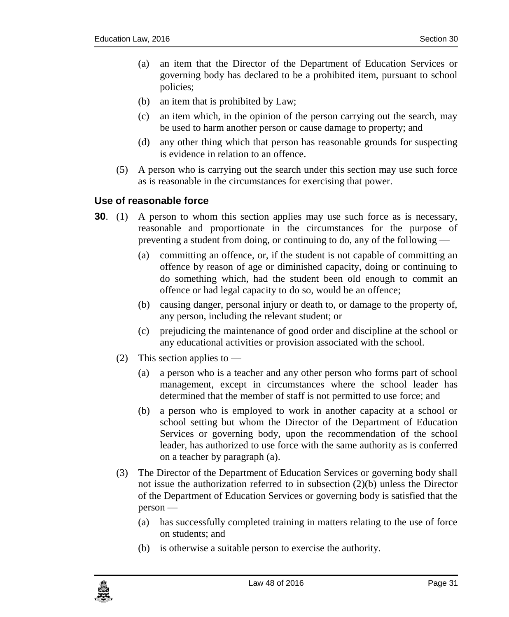- (a) an item that the Director of the Department of Education Services or governing body has declared to be a prohibited item, pursuant to school policies;
- (b) an item that is prohibited by Law;
- (c) an item which, in the opinion of the person carrying out the search, may be used to harm another person or cause damage to property; and
- (d) any other thing which that person has reasonable grounds for suspecting is evidence in relation to an offence.
- (5) A person who is carrying out the search under this section may use such force as is reasonable in the circumstances for exercising that power.

#### <span id="page-30-0"></span>**30. Use of reasonable force**

- **30.** (1) A person to whom this section applies may use such force as is necessary, reasonable and proportionate in the circumstances for the purpose of preventing a student from doing, or continuing to do, any of the following —
	- (a) committing an offence, or, if the student is not capable of committing an offence by reason of age or diminished capacity, doing or continuing to do something which, had the student been old enough to commit an offence or had legal capacity to do so, would be an offence;
	- (b) causing danger, personal injury or death to, or damage to the property of, any person, including the relevant student; or
	- (c) prejudicing the maintenance of good order and discipline at the school or any educational activities or provision associated with the school.
	- (2) This section applies to  $-$ 
		- (a) a person who is a teacher and any other person who forms part of school management, except in circumstances where the school leader has determined that the member of staff is not permitted to use force; and
		- (b) a person who is employed to work in another capacity at a school or school setting but whom the Director of the Department of Education Services or governing body, upon the recommendation of the school leader, has authorized to use force with the same authority as is conferred on a teacher by paragraph (a).
	- (3) The Director of the Department of Education Services or governing body shall not issue the authorization referred to in subsection (2)(b) unless the Director of the Department of Education Services or governing body is satisfied that the person —
		- (a) has successfully completed training in matters relating to the use of force on students; and
		- (b) is otherwise a suitable person to exercise the authority.

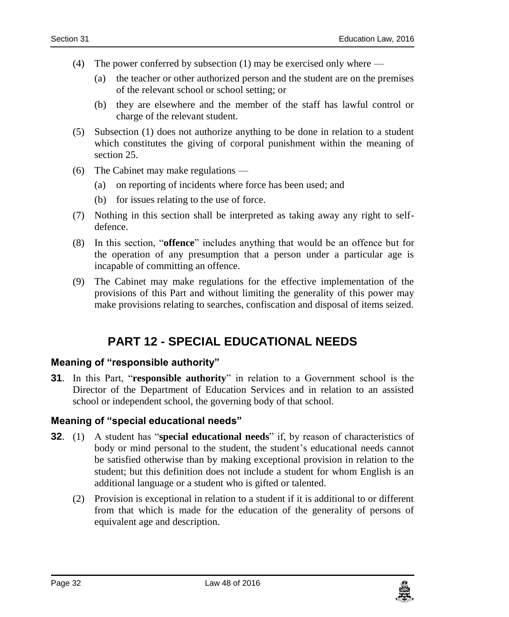- (4) The power conferred by subsection (1) may be exercised only where
	- (a) the teacher or other authorized person and the student are on the premises of the relevant school or school setting; or
	- (b) they are elsewhere and the member of the staff has lawful control or charge of the relevant student.
- (5) Subsection (1) does not authorize anything to be done in relation to a student which constitutes the giving of corporal punishment within the meaning of section 25.
- (6) The Cabinet may make regulations
	- (a) on reporting of incidents where force has been used; and
	- (b) for issues relating to the use of force.
- (7) Nothing in this section shall be interpreted as taking away any right to selfdefence.
- (8) In this section, "**offence**" includes anything that would be an offence but for the operation of any presumption that a person under a particular age is incapable of committing an offence.
- <span id="page-31-0"></span>(9) The Cabinet may make regulations for the effective implementation of the provisions of this Part and without limiting the generality of this power may make provisions relating to searches, confiscation and disposal of items seized.

# **PART 12 - SPECIAL EDUCATIONAL NEEDS**

#### <span id="page-31-1"></span>**31. Meaning of "responsible authority"**

**31**. In this Part, "**responsible authority**" in relation to a Government school is the Director of the Department of Education Services and in relation to an assisted school or independent school, the governing body of that school.

#### <span id="page-31-2"></span>**32. Meaning of "special educational needs"**

- **32**. (1) A student has "**special educational needs**" if, by reason of characteristics of body or mind personal to the student, the student's educational needs cannot be satisfied otherwise than by making exceptional provision in relation to the student; but this definition does not include a student for whom English is an additional language or a student who is gifted or talented.
	- (2) Provision is exceptional in relation to a student if it is additional to or different from that which is made for the education of the generality of persons of equivalent age and description.

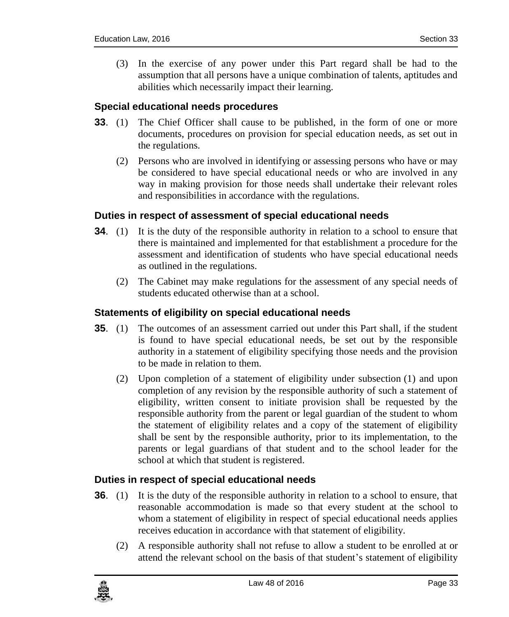(3) In the exercise of any power under this Part regard shall be had to the assumption that all persons have a unique combination of talents, aptitudes and abilities which necessarily impact their learning.

#### <span id="page-32-0"></span>**33. Special educational needs procedures**

- **33**. (1) The Chief Officer shall cause to be published, in the form of one or more documents, procedures on provision for special education needs, as set out in the regulations.
	- (2) Persons who are involved in identifying or assessing persons who have or may be considered to have special educational needs or who are involved in any way in making provision for those needs shall undertake their relevant roles and responsibilities in accordance with the regulations.

#### <span id="page-32-1"></span>**34. Duties in respect of assessment of special educational needs**

- **34.** (1) It is the duty of the responsible authority in relation to a school to ensure that there is maintained and implemented for that establishment a procedure for the assessment and identification of students who have special educational needs as outlined in the regulations.
	- (2) The Cabinet may make regulations for the assessment of any special needs of students educated otherwise than at a school.

#### <span id="page-32-2"></span>**35. Statements of eligibility on special educational needs**

- **35.** (1) The outcomes of an assessment carried out under this Part shall, if the student is found to have special educational needs, be set out by the responsible authority in a statement of eligibility specifying those needs and the provision to be made in relation to them.
	- (2) Upon completion of a statement of eligibility under subsection (1) and upon completion of any revision by the responsible authority of such a statement of eligibility, written consent to initiate provision shall be requested by the responsible authority from the parent or legal guardian of the student to whom the statement of eligibility relates and a copy of the statement of eligibility shall be sent by the responsible authority, prior to its implementation, to the parents or legal guardians of that student and to the school leader for the school at which that student is registered.

#### <span id="page-32-3"></span>**36. Duties in respect of special educational needs**

- **36.** (1) It is the duty of the responsible authority in relation to a school to ensure, that reasonable accommodation is made so that every student at the school to whom a statement of eligibility in respect of special educational needs applies receives education in accordance with that statement of eligibility.
	- (2) A responsible authority shall not refuse to allow a student to be enrolled at or attend the relevant school on the basis of that student's statement of eligibility

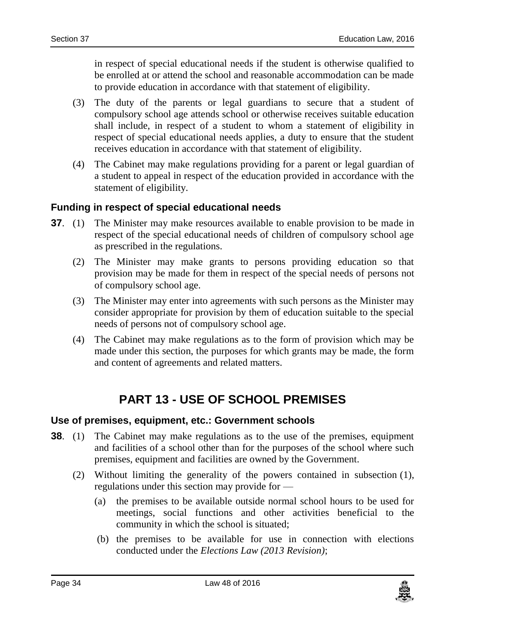in respect of special educational needs if the student is otherwise qualified to be enrolled at or attend the school and reasonable accommodation can be made to provide education in accordance with that statement of eligibility.

- (3) The duty of the parents or legal guardians to secure that a student of compulsory school age attends school or otherwise receives suitable education shall include, in respect of a student to whom a statement of eligibility in respect of special educational needs applies, a duty to ensure that the student receives education in accordance with that statement of eligibility.
- (4) The Cabinet may make regulations providing for a parent or legal guardian of a student to appeal in respect of the education provided in accordance with the statement of eligibility.

#### <span id="page-33-0"></span>**37. Funding in respect of special educational needs**

- **37.** (1) The Minister may make resources available to enable provision to be made in respect of the special educational needs of children of compulsory school age as prescribed in the regulations.
	- (2) The Minister may make grants to persons providing education so that provision may be made for them in respect of the special needs of persons not of compulsory school age.
	- (3) The Minister may enter into agreements with such persons as the Minister may consider appropriate for provision by them of education suitable to the special needs of persons not of compulsory school age.
	- (4) The Cabinet may make regulations as to the form of provision which may be made under this section, the purposes for which grants may be made, the form and content of agreements and related matters.

# **PART 13 - USE OF SCHOOL PREMISES**

#### <span id="page-33-2"></span><span id="page-33-1"></span>**38. Use of premises, equipment, etc.: Government schools**

- **38.** (1) The Cabinet may make regulations as to the use of the premises, equipment and facilities of a school other than for the purposes of the school where such premises, equipment and facilities are owned by the Government.
	- (2) Without limiting the generality of the powers contained in subsection (1), regulations under this section may provide for —
		- (a) the premises to be available outside normal school hours to be used for meetings, social functions and other activities beneficial to the community in which the school is situated;
		- (b) the premises to be available for use in connection with elections conducted under the *Elections Law (2013 Revision)*;

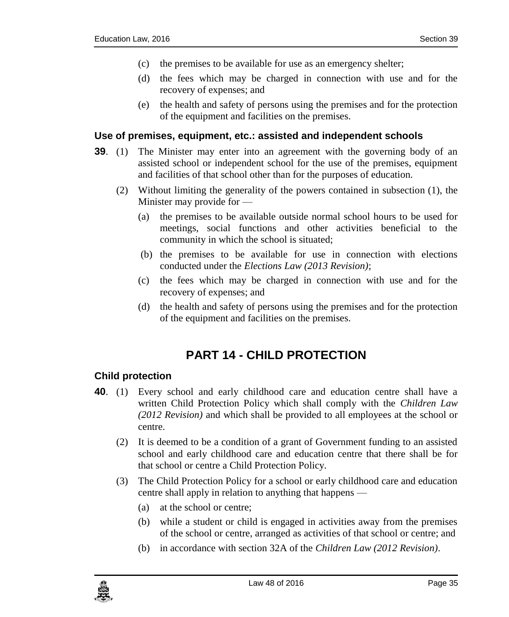- (c) the premises to be available for use as an emergency shelter;
- (d) the fees which may be charged in connection with use and for the recovery of expenses; and
- (e) the health and safety of persons using the premises and for the protection of the equipment and facilities on the premises.

#### <span id="page-34-0"></span>**39. Use of premises, equipment, etc.: assisted and independent schools**

- **39**. (1) The Minister may enter into an agreement with the governing body of an assisted school or independent school for the use of the premises, equipment and facilities of that school other than for the purposes of education.
	- (2) Without limiting the generality of the powers contained in subsection (1), the Minister may provide for —
		- (a) the premises to be available outside normal school hours to be used for meetings, social functions and other activities beneficial to the community in which the school is situated;
		- (b) the premises to be available for use in connection with elections conducted under the *Elections Law (2013 Revision)*;
		- (c) the fees which may be charged in connection with use and for the recovery of expenses; and
		- (d) the health and safety of persons using the premises and for the protection of the equipment and facilities on the premises.

# **PART 14 - CHILD PROTECTION**

### <span id="page-34-2"></span><span id="page-34-1"></span>**40. Child protection**

- **40**. (1) Every school and early childhood care and education centre shall have a written Child Protection Policy which shall comply with the *Children Law (2012 Revision)* and which shall be provided to all employees at the school or centre.
	- (2) It is deemed to be a condition of a grant of Government funding to an assisted school and early childhood care and education centre that there shall be for that school or centre a Child Protection Policy.
	- (3) The Child Protection Policy for a school or early childhood care and education centre shall apply in relation to anything that happens —
		- (a) at the school or centre;
		- (b) while a student or child is engaged in activities away from the premises of the school or centre, arranged as activities of that school or centre; and
		- (b) in accordance with section 32A of the *Children Law (2012 Revision)*.

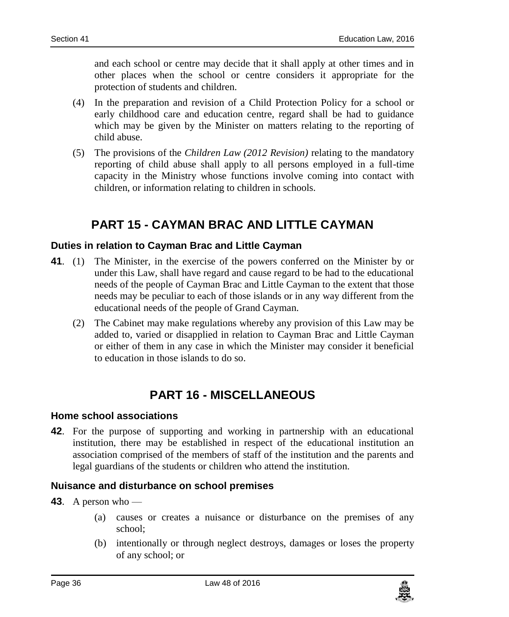and each school or centre may decide that it shall apply at other times and in other places when the school or centre considers it appropriate for the protection of students and children.

- (4) In the preparation and revision of a Child Protection Policy for a school or early childhood care and education centre, regard shall be had to guidance which may be given by the Minister on matters relating to the reporting of child abuse.
- (5) The provisions of the *Children Law (2012 Revision)* relating to the mandatory reporting of child abuse shall apply to all persons employed in a full-time capacity in the Ministry whose functions involve coming into contact with children, or information relating to children in schools.

# **PART 15 - CAYMAN BRAC AND LITTLE CAYMAN**

### <span id="page-35-1"></span><span id="page-35-0"></span>**41. Duties in relation to Cayman Brac and Little Cayman**

- **41**. (1) The Minister, in the exercise of the powers conferred on the Minister by or under this Law, shall have regard and cause regard to be had to the educational needs of the people of Cayman Brac and Little Cayman to the extent that those needs may be peculiar to each of those islands or in any way different from the educational needs of the people of Grand Cayman.
	- (2) The Cabinet may make regulations whereby any provision of this Law may be added to, varied or disapplied in relation to Cayman Brac and Little Cayman or either of them in any case in which the Minister may consider it beneficial to education in those islands to do so.

# **PART 16 - MISCELLANEOUS**

#### <span id="page-35-3"></span><span id="page-35-2"></span>**42. Home school associations**

**42**. For the purpose of supporting and working in partnership with an educational institution, there may be established in respect of the educational institution an association comprised of the members of staff of the institution and the parents and legal guardians of the students or children who attend the institution.

#### <span id="page-35-4"></span>**43. Nuisance and disturbance on school premises**

- **43**. A person who
	- (a) causes or creates a nuisance or disturbance on the premises of any school;
	- (b) intentionally or through neglect destroys, damages or loses the property of any school; or